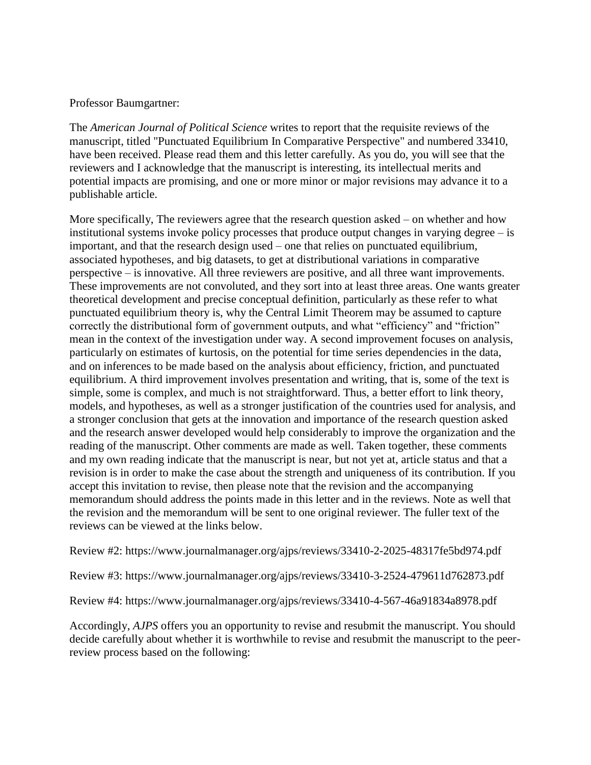## Professor Baumgartner:

The *American Journal of Political Science* writes to report that the requisite reviews of the manuscript, titled "Punctuated Equilibrium In Comparative Perspective" and numbered 33410, have been received. Please read them and this letter carefully. As you do, you will see that the reviewers and I acknowledge that the manuscript is interesting, its intellectual merits and potential impacts are promising, and one or more minor or major revisions may advance it to a publishable article.

More specifically, The reviewers agree that the research question asked – on whether and how institutional systems invoke policy processes that produce output changes in varying degree – is important, and that the research design used – one that relies on punctuated equilibrium, associated hypotheses, and big datasets, to get at distributional variations in comparative perspective – is innovative. All three reviewers are positive, and all three want improvements. These improvements are not convoluted, and they sort into at least three areas. One wants greater theoretical development and precise conceptual definition, particularly as these refer to what punctuated equilibrium theory is, why the Central Limit Theorem may be assumed to capture correctly the distributional form of government outputs, and what "efficiency" and "friction" mean in the context of the investigation under way. A second improvement focuses on analysis, particularly on estimates of kurtosis, on the potential for time series dependencies in the data, and on inferences to be made based on the analysis about efficiency, friction, and punctuated equilibrium. A third improvement involves presentation and writing, that is, some of the text is simple, some is complex, and much is not straightforward. Thus, a better effort to link theory, models, and hypotheses, as well as a stronger justification of the countries used for analysis, and a stronger conclusion that gets at the innovation and importance of the research question asked and the research answer developed would help considerably to improve the organization and the reading of the manuscript. Other comments are made as well. Taken together, these comments and my own reading indicate that the manuscript is near, but not yet at, article status and that a revision is in order to make the case about the strength and uniqueness of its contribution. If you accept this invitation to revise, then please note that the revision and the accompanying memorandum should address the points made in this letter and in the reviews. Note as well that the revision and the memorandum will be sent to one original reviewer. The fuller text of the reviews can be viewed at the links below.

Review #2: https://www.journalmanager.org/ajps/reviews/33410-2-2025-48317fe5bd974.pdf

Review #3: https://www.journalmanager.org/ajps/reviews/33410-3-2524-479611d762873.pdf

Review #4: https://www.journalmanager.org/ajps/reviews/33410-4-567-46a91834a8978.pdf

Accordingly, *AJPS* offers you an opportunity to revise and resubmit the manuscript. You should decide carefully about whether it is worthwhile to revise and resubmit the manuscript to the peerreview process based on the following: